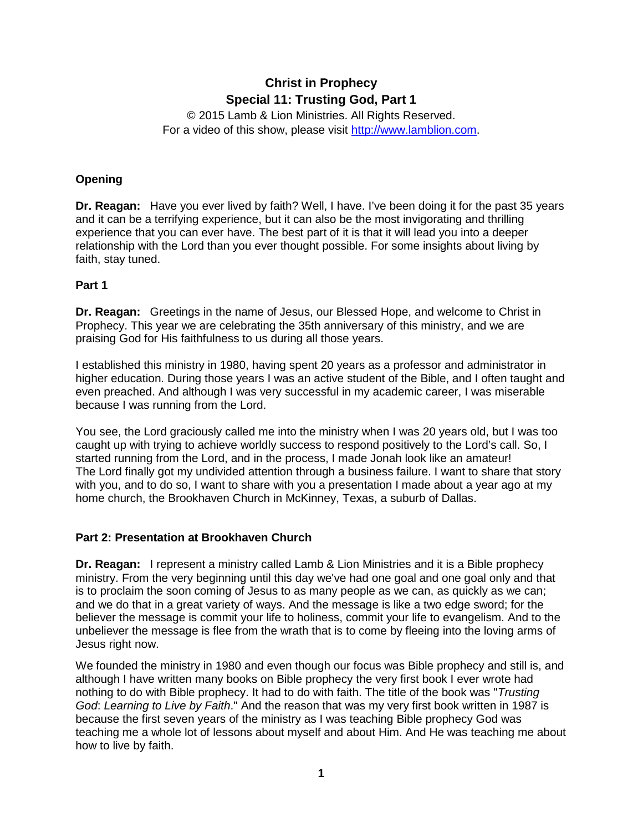# **Christ in Prophecy Special 11: Trusting God, Part 1**

© 2015 Lamb & Lion Ministries. All Rights Reserved. For a video of this show, please visit [http://www.lamblion.com.](http://www.lamblion.com/)

## **Opening**

**Dr. Reagan:** Have you ever lived by faith? Well, I have. I've been doing it for the past 35 years and it can be a terrifying experience, but it can also be the most invigorating and thrilling experience that you can ever have. The best part of it is that it will lead you into a deeper relationship with the Lord than you ever thought possible. For some insights about living by faith, stay tuned.

#### **Part 1**

**Dr. Reagan:** Greetings in the name of Jesus, our Blessed Hope, and welcome to Christ in Prophecy. This year we are celebrating the 35th anniversary of this ministry, and we are praising God for His faithfulness to us during all those years.

I established this ministry in 1980, having spent 20 years as a professor and administrator in higher education. During those years I was an active student of the Bible, and I often taught and even preached. And although I was very successful in my academic career, I was miserable because I was running from the Lord.

You see, the Lord graciously called me into the ministry when I was 20 years old, but I was too caught up with trying to achieve worldly success to respond positively to the Lord's call. So, I started running from the Lord, and in the process, I made Jonah look like an amateur! The Lord finally got my undivided attention through a business failure. I want to share that story with you, and to do so, I want to share with you a presentation I made about a year ago at my home church, the Brookhaven Church in McKinney, Texas, a suburb of Dallas.

#### **Part 2: Presentation at Brookhaven Church**

**Dr. Reagan:** I represent a ministry called Lamb & Lion Ministries and it is a Bible prophecy ministry. From the very beginning until this day we've had one goal and one goal only and that is to proclaim the soon coming of Jesus to as many people as we can, as quickly as we can; and we do that in a great variety of ways. And the message is like a two edge sword; for the believer the message is commit your life to holiness, commit your life to evangelism. And to the unbeliever the message is flee from the wrath that is to come by fleeing into the loving arms of Jesus right now.

We founded the ministry in 1980 and even though our focus was Bible prophecy and still is, and although I have written many books on Bible prophecy the very first book I ever wrote had nothing to do with Bible prophecy. It had to do with faith. The title of the book was "*Trusting God*: *Learning to Live by Faith*." And the reason that was my very first book written in 1987 is because the first seven years of the ministry as I was teaching Bible prophecy God was teaching me a whole lot of lessons about myself and about Him. And He was teaching me about how to live by faith.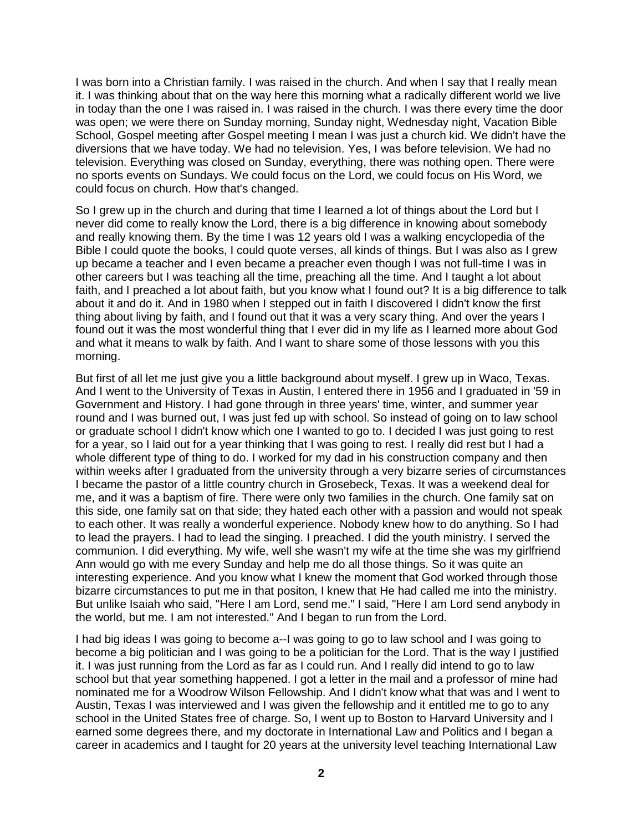I was born into a Christian family. I was raised in the church. And when I say that I really mean it. I was thinking about that on the way here this morning what a radically different world we live in today than the one I was raised in. I was raised in the church. I was there every time the door was open; we were there on Sunday morning, Sunday night, Wednesday night, Vacation Bible School, Gospel meeting after Gospel meeting I mean I was just a church kid. We didn't have the diversions that we have today. We had no television. Yes, I was before television. We had no television. Everything was closed on Sunday, everything, there was nothing open. There were no sports events on Sundays. We could focus on the Lord, we could focus on His Word, we could focus on church. How that's changed.

So I grew up in the church and during that time I learned a lot of things about the Lord but I never did come to really know the Lord, there is a big difference in knowing about somebody and really knowing them. By the time I was 12 years old I was a walking encyclopedia of the Bible I could quote the books, I could quote verses, all kinds of things. But I was also as I grew up became a teacher and I even became a preacher even though I was not full-time I was in other careers but I was teaching all the time, preaching all the time. And I taught a lot about faith, and I preached a lot about faith, but you know what I found out? It is a big difference to talk about it and do it. And in 1980 when I stepped out in faith I discovered I didn't know the first thing about living by faith, and I found out that it was a very scary thing. And over the years I found out it was the most wonderful thing that I ever did in my life as I learned more about God and what it means to walk by faith. And I want to share some of those lessons with you this morning.

But first of all let me just give you a little background about myself. I grew up in Waco, Texas. And I went to the University of Texas in Austin, I entered there in 1956 and I graduated in '59 in Government and History. I had gone through in three years' time, winter, and summer year round and I was burned out, I was just fed up with school. So instead of going on to law school or graduate school I didn't know which one I wanted to go to. I decided I was just going to rest for a year, so I laid out for a year thinking that I was going to rest. I really did rest but I had a whole different type of thing to do. I worked for my dad in his construction company and then within weeks after I graduated from the university through a very bizarre series of circumstances I became the pastor of a little country church in Grosebeck, Texas. It was a weekend deal for me, and it was a baptism of fire. There were only two families in the church. One family sat on this side, one family sat on that side; they hated each other with a passion and would not speak to each other. It was really a wonderful experience. Nobody knew how to do anything. So I had to lead the prayers. I had to lead the singing. I preached. I did the youth ministry. I served the communion. I did everything. My wife, well she wasn't my wife at the time she was my girlfriend Ann would go with me every Sunday and help me do all those things. So it was quite an interesting experience. And you know what I knew the moment that God worked through those bizarre circumstances to put me in that positon, I knew that He had called me into the ministry. But unlike Isaiah who said, "Here I am Lord, send me." I said, "Here I am Lord send anybody in the world, but me. I am not interested." And I began to run from the Lord.

I had big ideas I was going to become a--I was going to go to law school and I was going to become a big politician and I was going to be a politician for the Lord. That is the way I justified it. I was just running from the Lord as far as I could run. And I really did intend to go to law school but that year something happened. I got a letter in the mail and a professor of mine had nominated me for a Woodrow Wilson Fellowship. And I didn't know what that was and I went to Austin, Texas I was interviewed and I was given the fellowship and it entitled me to go to any school in the United States free of charge. So, I went up to Boston to Harvard University and I earned some degrees there, and my doctorate in International Law and Politics and I began a career in academics and I taught for 20 years at the university level teaching International Law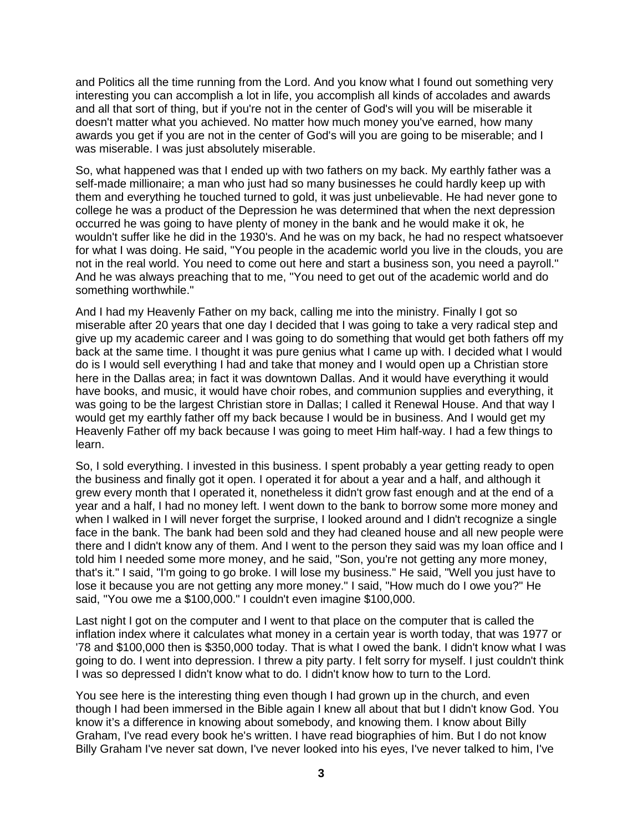and Politics all the time running from the Lord. And you know what I found out something very interesting you can accomplish a lot in life, you accomplish all kinds of accolades and awards and all that sort of thing, but if you're not in the center of God's will you will be miserable it doesn't matter what you achieved. No matter how much money you've earned, how many awards you get if you are not in the center of God's will you are going to be miserable; and I was miserable. I was just absolutely miserable.

So, what happened was that I ended up with two fathers on my back. My earthly father was a self-made millionaire; a man who just had so many businesses he could hardly keep up with them and everything he touched turned to gold, it was just unbelievable. He had never gone to college he was a product of the Depression he was determined that when the next depression occurred he was going to have plenty of money in the bank and he would make it ok, he wouldn't suffer like he did in the 1930's. And he was on my back, he had no respect whatsoever for what I was doing. He said, "You people in the academic world you live in the clouds, you are not in the real world. You need to come out here and start a business son, you need a payroll." And he was always preaching that to me, "You need to get out of the academic world and do something worthwhile."

And I had my Heavenly Father on my back, calling me into the ministry. Finally I got so miserable after 20 years that one day I decided that I was going to take a very radical step and give up my academic career and I was going to do something that would get both fathers off my back at the same time. I thought it was pure genius what I came up with. I decided what I would do is I would sell everything I had and take that money and I would open up a Christian store here in the Dallas area; in fact it was downtown Dallas. And it would have everything it would have books, and music, it would have choir robes, and communion supplies and everything, it was going to be the largest Christian store in Dallas; I called it Renewal House. And that way I would get my earthly father off my back because I would be in business. And I would get my Heavenly Father off my back because I was going to meet Him half-way. I had a few things to learn.

So, I sold everything. I invested in this business. I spent probably a year getting ready to open the business and finally got it open. I operated it for about a year and a half, and although it grew every month that I operated it, nonetheless it didn't grow fast enough and at the end of a year and a half, I had no money left. I went down to the bank to borrow some more money and when I walked in I will never forget the surprise, I looked around and I didn't recognize a single face in the bank. The bank had been sold and they had cleaned house and all new people were there and I didn't know any of them. And I went to the person they said was my loan office and I told him I needed some more money, and he said, "Son, you're not getting any more money, that's it." I said, "I'm going to go broke. I will lose my business." He said, "Well you just have to lose it because you are not getting any more money." I said, "How much do I owe you?" He said, "You owe me a \$100,000." I couldn't even imagine \$100,000.

Last night I got on the computer and I went to that place on the computer that is called the inflation index where it calculates what money in a certain year is worth today, that was 1977 or '78 and \$100,000 then is \$350,000 today. That is what I owed the bank. I didn't know what I was going to do. I went into depression. I threw a pity party. I felt sorry for myself. I just couldn't think I was so depressed I didn't know what to do. I didn't know how to turn to the Lord.

You see here is the interesting thing even though I had grown up in the church, and even though I had been immersed in the Bible again I knew all about that but I didn't know God. You know it's a difference in knowing about somebody, and knowing them. I know about Billy Graham, I've read every book he's written. I have read biographies of him. But I do not know Billy Graham I've never sat down, I've never looked into his eyes, I've never talked to him, I've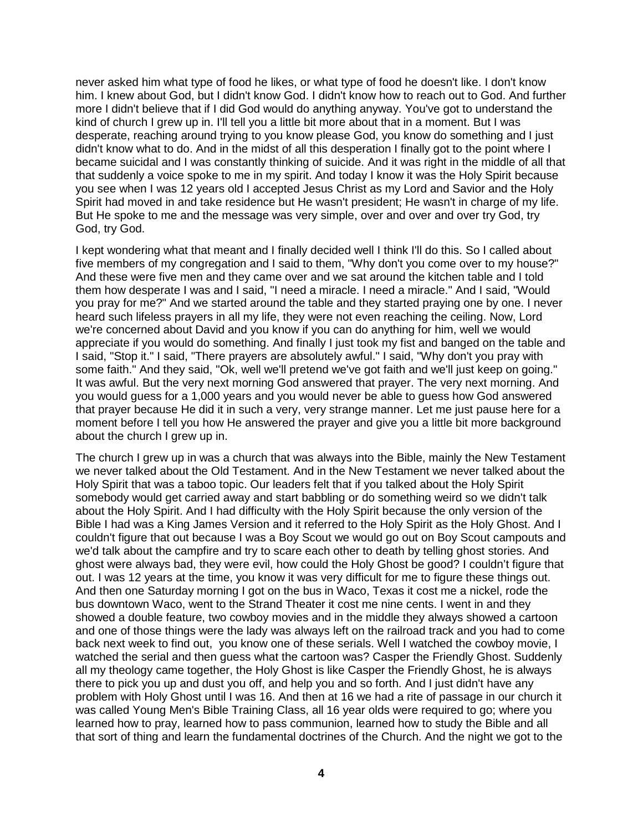never asked him what type of food he likes, or what type of food he doesn't like. I don't know him. I knew about God, but I didn't know God. I didn't know how to reach out to God. And further more I didn't believe that if I did God would do anything anyway. You've got to understand the kind of church I grew up in. I'll tell you a little bit more about that in a moment. But I was desperate, reaching around trying to you know please God, you know do something and I just didn't know what to do. And in the midst of all this desperation I finally got to the point where I became suicidal and I was constantly thinking of suicide. And it was right in the middle of all that that suddenly a voice spoke to me in my spirit. And today I know it was the Holy Spirit because you see when I was 12 years old I accepted Jesus Christ as my Lord and Savior and the Holy Spirit had moved in and take residence but He wasn't president; He wasn't in charge of my life. But He spoke to me and the message was very simple, over and over and over try God, try God, try God.

I kept wondering what that meant and I finally decided well I think I'll do this. So I called about five members of my congregation and I said to them, "Why don't you come over to my house?" And these were five men and they came over and we sat around the kitchen table and I told them how desperate I was and I said, "I need a miracle. I need a miracle." And I said, "Would you pray for me?" And we started around the table and they started praying one by one. I never heard such lifeless prayers in all my life, they were not even reaching the ceiling. Now, Lord we're concerned about David and you know if you can do anything for him, well we would appreciate if you would do something. And finally I just took my fist and banged on the table and I said, "Stop it." I said, "There prayers are absolutely awful." I said, "Why don't you pray with some faith." And they said, "Ok, well we'll pretend we've got faith and we'll just keep on going." It was awful. But the very next morning God answered that prayer. The very next morning. And you would guess for a 1,000 years and you would never be able to guess how God answered that prayer because He did it in such a very, very strange manner. Let me just pause here for a moment before I tell you how He answered the prayer and give you a little bit more background about the church I grew up in.

The church I grew up in was a church that was always into the Bible, mainly the New Testament we never talked about the Old Testament. And in the New Testament we never talked about the Holy Spirit that was a taboo topic. Our leaders felt that if you talked about the Holy Spirit somebody would get carried away and start babbling or do something weird so we didn't talk about the Holy Spirit. And I had difficulty with the Holy Spirit because the only version of the Bible I had was a King James Version and it referred to the Holy Spirit as the Holy Ghost. And I couldn't figure that out because I was a Boy Scout we would go out on Boy Scout campouts and we'd talk about the campfire and try to scare each other to death by telling ghost stories. And ghost were always bad, they were evil, how could the Holy Ghost be good? I couldn't figure that out. I was 12 years at the time, you know it was very difficult for me to figure these things out. And then one Saturday morning I got on the bus in Waco, Texas it cost me a nickel, rode the bus downtown Waco, went to the Strand Theater it cost me nine cents. I went in and they showed a double feature, two cowboy movies and in the middle they always showed a cartoon and one of those things were the lady was always left on the railroad track and you had to come back next week to find out, you know one of these serials. Well I watched the cowboy movie, I watched the serial and then guess what the cartoon was? Casper the Friendly Ghost. Suddenly all my theology came together, the Holy Ghost is like Casper the Friendly Ghost, he is always there to pick you up and dust you off, and help you and so forth. And I just didn't have any problem with Holy Ghost until I was 16. And then at 16 we had a rite of passage in our church it was called Young Men's Bible Training Class, all 16 year olds were required to go; where you learned how to pray, learned how to pass communion, learned how to study the Bible and all that sort of thing and learn the fundamental doctrines of the Church. And the night we got to the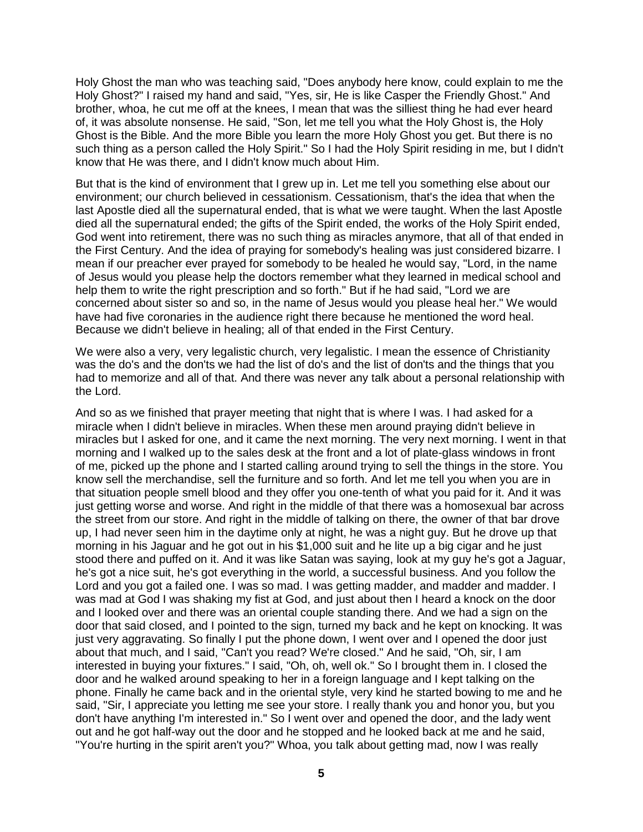Holy Ghost the man who was teaching said, "Does anybody here know, could explain to me the Holy Ghost?" I raised my hand and said, "Yes, sir, He is like Casper the Friendly Ghost." And brother, whoa, he cut me off at the knees, I mean that was the silliest thing he had ever heard of, it was absolute nonsense. He said, "Son, let me tell you what the Holy Ghost is, the Holy Ghost is the Bible. And the more Bible you learn the more Holy Ghost you get. But there is no such thing as a person called the Holy Spirit." So I had the Holy Spirit residing in me, but I didn't know that He was there, and I didn't know much about Him.

But that is the kind of environment that I grew up in. Let me tell you something else about our environment; our church believed in cessationism. Cessationism, that's the idea that when the last Apostle died all the supernatural ended, that is what we were taught. When the last Apostle died all the supernatural ended; the gifts of the Spirit ended, the works of the Holy Spirit ended, God went into retirement, there was no such thing as miracles anymore, that all of that ended in the First Century. And the idea of praying for somebody's healing was just considered bizarre. I mean if our preacher ever prayed for somebody to be healed he would say, "Lord, in the name of Jesus would you please help the doctors remember what they learned in medical school and help them to write the right prescription and so forth." But if he had said, "Lord we are concerned about sister so and so, in the name of Jesus would you please heal her." We would have had five coronaries in the audience right there because he mentioned the word heal. Because we didn't believe in healing; all of that ended in the First Century.

We were also a very, very legalistic church, very legalistic. I mean the essence of Christianity was the do's and the don'ts we had the list of do's and the list of don'ts and the things that you had to memorize and all of that. And there was never any talk about a personal relationship with the Lord.

And so as we finished that prayer meeting that night that is where I was. I had asked for a miracle when I didn't believe in miracles. When these men around praying didn't believe in miracles but I asked for one, and it came the next morning. The very next morning. I went in that morning and I walked up to the sales desk at the front and a lot of plate-glass windows in front of me, picked up the phone and I started calling around trying to sell the things in the store. You know sell the merchandise, sell the furniture and so forth. And let me tell you when you are in that situation people smell blood and they offer you one-tenth of what you paid for it. And it was just getting worse and worse. And right in the middle of that there was a homosexual bar across the street from our store. And right in the middle of talking on there, the owner of that bar drove up, I had never seen him in the daytime only at night, he was a night guy. But he drove up that morning in his Jaguar and he got out in his \$1,000 suit and he lite up a big cigar and he just stood there and puffed on it. And it was like Satan was saying, look at my guy he's got a Jaguar, he's got a nice suit, he's got everything in the world, a successful business. And you follow the Lord and you got a failed one. I was so mad. I was getting madder, and madder and madder. I was mad at God I was shaking my fist at God, and just about then I heard a knock on the door and I looked over and there was an oriental couple standing there. And we had a sign on the door that said closed, and I pointed to the sign, turned my back and he kept on knocking. It was just very aggravating. So finally I put the phone down, I went over and I opened the door just about that much, and I said, "Can't you read? We're closed." And he said, "Oh, sir, I am interested in buying your fixtures." I said, "Oh, oh, well ok." So I brought them in. I closed the door and he walked around speaking to her in a foreign language and I kept talking on the phone. Finally he came back and in the oriental style, very kind he started bowing to me and he said, "Sir, I appreciate you letting me see your store. I really thank you and honor you, but you don't have anything I'm interested in." So I went over and opened the door, and the lady went out and he got half-way out the door and he stopped and he looked back at me and he said, "You're hurting in the spirit aren't you?" Whoa, you talk about getting mad, now I was really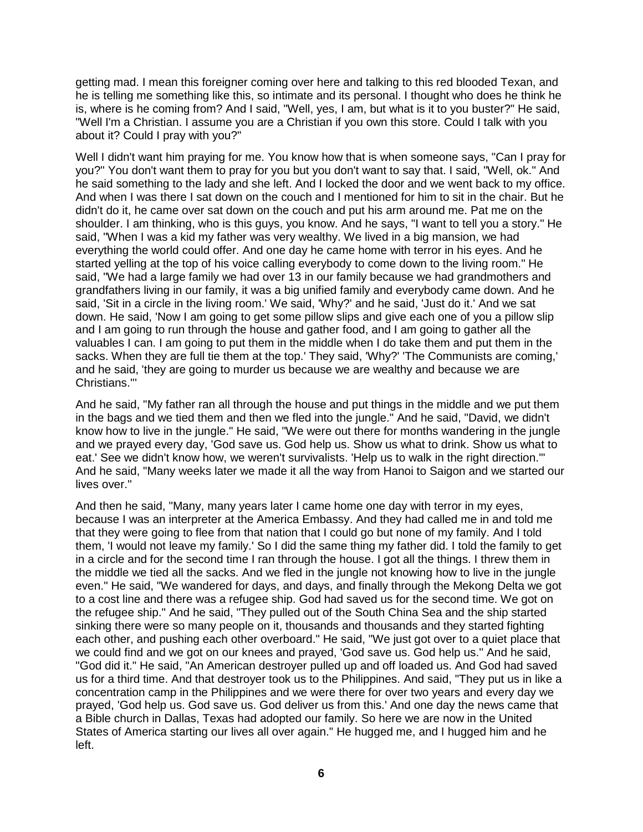getting mad. I mean this foreigner coming over here and talking to this red blooded Texan, and he is telling me something like this, so intimate and its personal. I thought who does he think he is, where is he coming from? And I said, "Well, yes, I am, but what is it to you buster?" He said, "Well I'm a Christian. I assume you are a Christian if you own this store. Could I talk with you about it? Could I pray with you?"

Well I didn't want him praying for me. You know how that is when someone says, "Can I pray for you?" You don't want them to pray for you but you don't want to say that. I said, "Well, ok." And he said something to the lady and she left. And I locked the door and we went back to my office. And when I was there I sat down on the couch and I mentioned for him to sit in the chair. But he didn't do it, he came over sat down on the couch and put his arm around me. Pat me on the shoulder. I am thinking, who is this guys, you know. And he says, "I want to tell you a story." He said, "When I was a kid my father was very wealthy. We lived in a big mansion, we had everything the world could offer. And one day he came home with terror in his eyes. And he started yelling at the top of his voice calling everybody to come down to the living room." He said, "We had a large family we had over 13 in our family because we had grandmothers and grandfathers living in our family, it was a big unified family and everybody came down. And he said, 'Sit in a circle in the living room.' We said, 'Why?' and he said, 'Just do it.' And we sat down. He said, 'Now I am going to get some pillow slips and give each one of you a pillow slip and I am going to run through the house and gather food, and I am going to gather all the valuables I can. I am going to put them in the middle when I do take them and put them in the sacks. When they are full tie them at the top.' They said, 'Why?' 'The Communists are coming,' and he said, 'they are going to murder us because we are wealthy and because we are Christians.'''

And he said, "My father ran all through the house and put things in the middle and we put them in the bags and we tied them and then we fled into the jungle." And he said, "David, we didn't know how to live in the jungle." He said, "We were out there for months wandering in the jungle and we prayed every day, 'God save us. God help us. Show us what to drink. Show us what to eat.' See we didn't know how, we weren't survivalists. 'Help us to walk in the right direction.'" And he said, "Many weeks later we made it all the way from Hanoi to Saigon and we started our lives over."

And then he said, "Many, many years later I came home one day with terror in my eyes, because I was an interpreter at the America Embassy. And they had called me in and told me that they were going to flee from that nation that I could go but none of my family. And I told them, 'I would not leave my family.' So I did the same thing my father did. I told the family to get in a circle and for the second time I ran through the house. I got all the things. I threw them in the middle we tied all the sacks. And we fled in the jungle not knowing how to live in the jungle even." He said, "We wandered for days, and days, and finally through the Mekong Delta we got to a cost line and there was a refugee ship. God had saved us for the second time. We got on the refugee ship." And he said, "They pulled out of the South China Sea and the ship started sinking there were so many people on it, thousands and thousands and they started fighting each other, and pushing each other overboard." He said, "We just got over to a quiet place that we could find and we got on our knees and prayed, 'God save us. God help us.'' And he said, "God did it." He said, "An American destroyer pulled up and off loaded us. And God had saved us for a third time. And that destroyer took us to the Philippines. And said, "They put us in like a concentration camp in the Philippines and we were there for over two years and every day we prayed, 'God help us. God save us. God deliver us from this.' And one day the news came that a Bible church in Dallas, Texas had adopted our family. So here we are now in the United States of America starting our lives all over again." He hugged me, and I hugged him and he left.